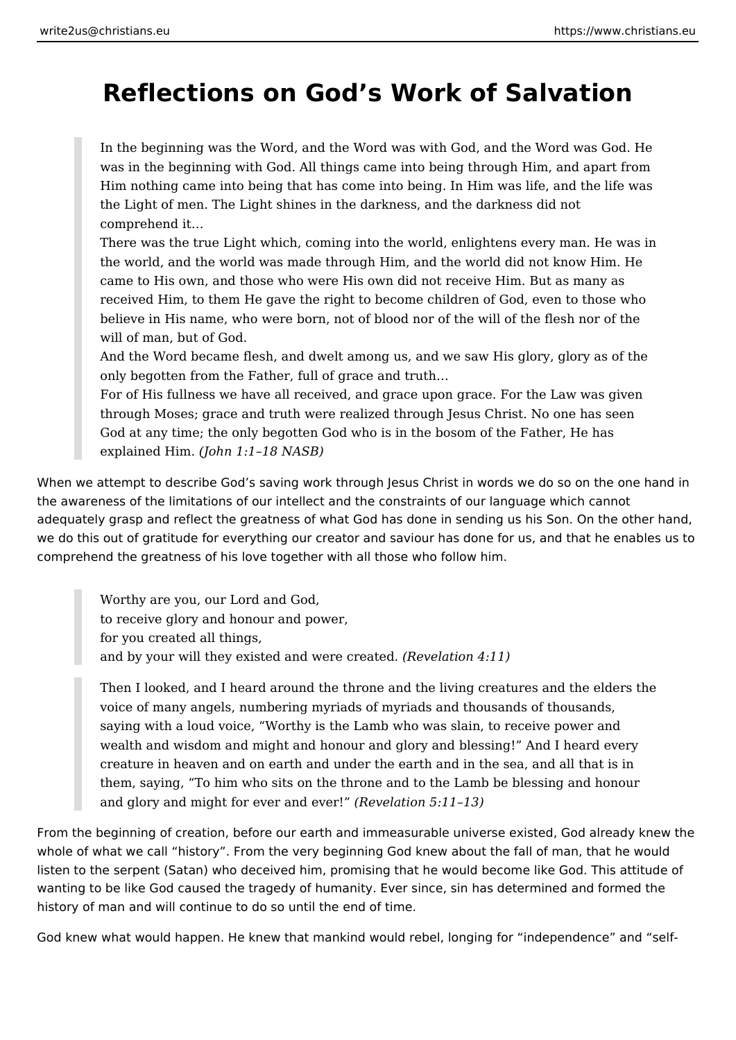## **Reflections on God's Work of Salvation**

In the beginning was the Word, and the Word was with God, and the Word was God. He was in the beginning with God. All things came into being through Him, and apart from Him nothing came into being that has come into being. In Him was life, and the life was the Light of men. The Light shines in the darkness, and the darkness did not comprehend it…

There was the true Light which, coming into the world, enlightens every man. He was in the world, and the world was made through Him, and the world did not know Him. He came to His own, and those who were His own did not receive Him. But as many as received Him, to them He gave the right to become children of God, even to those who believe in His name, who were born, not of blood nor of the will of the flesh nor of the will of man, but of God.

And the Word became flesh, and dwelt among us, and we saw His glory, glory as of the only begotten from the Father, full of grace and truth…

For of His fullness we have all received, and grace upon grace. For the Law was given through Moses; grace and truth were realized through Jesus Christ. No one has seen God at any time; the only begotten God who is in the bosom of the Father, He has explained Him. *(John 1:1–18 NASB)*

When we attempt to describe God's saving work through Jesus Christ in words we do so on the one hand in the awareness of the limitations of our intellect and the constraints of our language which cannot adequately grasp and reflect the greatness of what God has done in sending us his Son. On the other hand, we do this out of gratitude for everything our creator and saviour has done for us, and that he enables us to comprehend the greatness of his love together with all those who follow him.

Worthy are you, our Lord and God, to receive glory and honour and power, for you created all things, and by your will they existed and were created. *(Revelation 4:11)* 

Then I looked, and I heard around the throne and the living creatures and the elders the voice of many angels, numbering myriads of myriads and thousands of thousands, saying with a loud voice, "Worthy is the Lamb who was slain, to receive power and wealth and wisdom and might and honour and glory and blessing!" And I heard every creature in heaven and on earth and under the earth and in the sea, and all that is in them, saying, "To him who sits on the throne and to the Lamb be blessing and honour and glory and might for ever and ever!" *(Revelation 5:11–13)* 

From the beginning of creation, before our earth and immeasurable universe existed, God already knew the whole of what we call "history". From the very beginning God knew about the fall of man, that he would listen to the serpent (Satan) who deceived him, promising that he would become like God. This attitude of wanting to be like God caused the tragedy of humanity. Ever since, sin has determined and formed the history of man and will continue to do so until the end of time.

God knew what would happen. He knew that mankind would rebel, longing for "independence" and "self-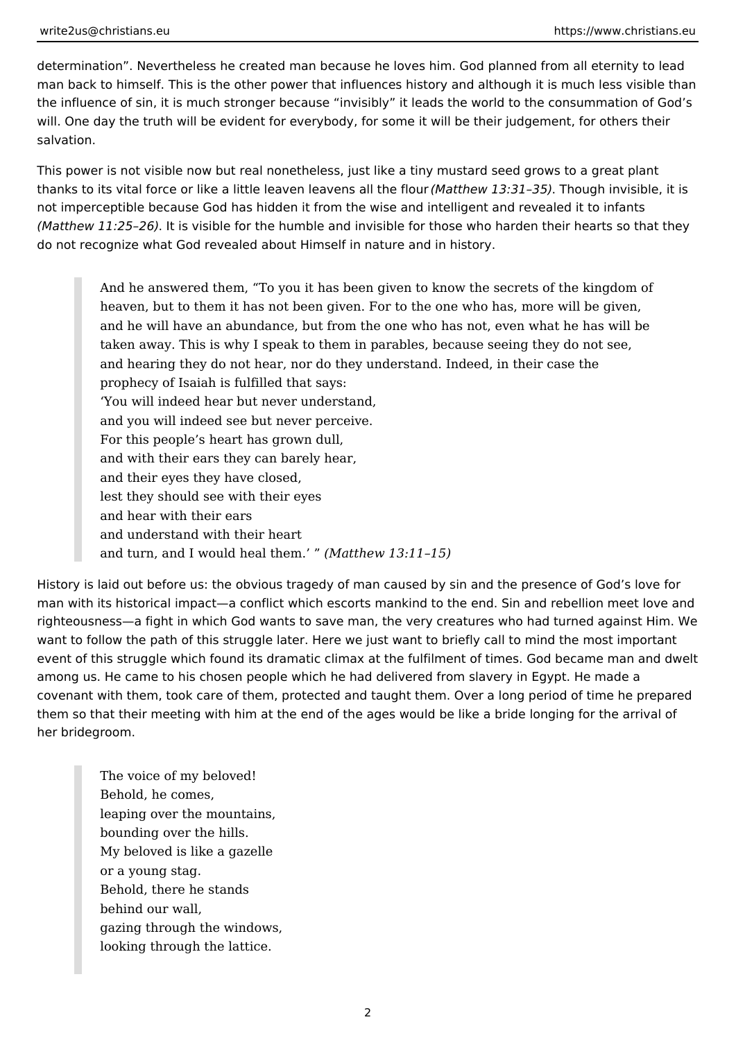determination". Nevertheless he created man because he loves him. God planned from all eternity to lead man back to himself. This is the other power that influences history and although it is much less visible than the influence of sin, it is much stronger because "invisibly" it leads the world to the consummation of God's will. One day the truth will be evident for everybody, for some it will be their judgement, for others their salvation.

This power is not visible now but real nonetheless, just like a tiny mustard seed grows to a great plant thanks to its vital force or like a little leaven leavens all the flour *(Matthew 13:31–35)*. Though invisible, it is not imperceptible because God has hidden it from the wise and intelligent and revealed it to infants *(Matthew 11:25–26)*. It is visible for the humble and invisible for those who harden their hearts so that they do not recognize what God revealed about Himself in nature and in history.

And he answered them, "To you it has been given to know the secrets of the kingdom of heaven, but to them it has not been given. For to the one who has, more will be given, and he will have an abundance, but from the one who has not, even what he has will be taken away. This is why I speak to them in parables, because seeing they do not see, and hearing they do not hear, nor do they understand. Indeed, in their case the prophecy of Isaiah is fulfilled that says: 'You will indeed hear but never understand, and you will indeed see but never perceive. For this people's heart has grown dull, and with their ears they can barely hear, and their eyes they have closed, lest they should see with their eyes and hear with their ears and understand with their heart and turn, and I would heal them.' " *(Matthew 13:11–15)*

History is laid out before us: the obvious tragedy of man caused by sin and the presence of God's love for man with its historical impact—a conflict which escorts mankind to the end. Sin and rebellion meet love and righteousness—a fight in which God wants to save man, the very creatures who had turned against Him. We want to follow the path of this struggle later. Here we just want to briefly call to mind the most important event of this struggle which found its dramatic climax at the fulfilment of times. God became man and dwelt among us. He came to his chosen people which he had delivered from slavery in Egypt. He made a covenant with them, took care of them, protected and taught them. Over a long period of time he prepared them so that their meeting with him at the end of the ages would be like a bride longing for the arrival of her bridegroom.

The voice of my beloved! Behold, he comes, leaping over the mountains, bounding over the hills. My beloved is like a gazelle or a young stag. Behold, there he stands behind our wall, gazing through the windows, looking through the lattice.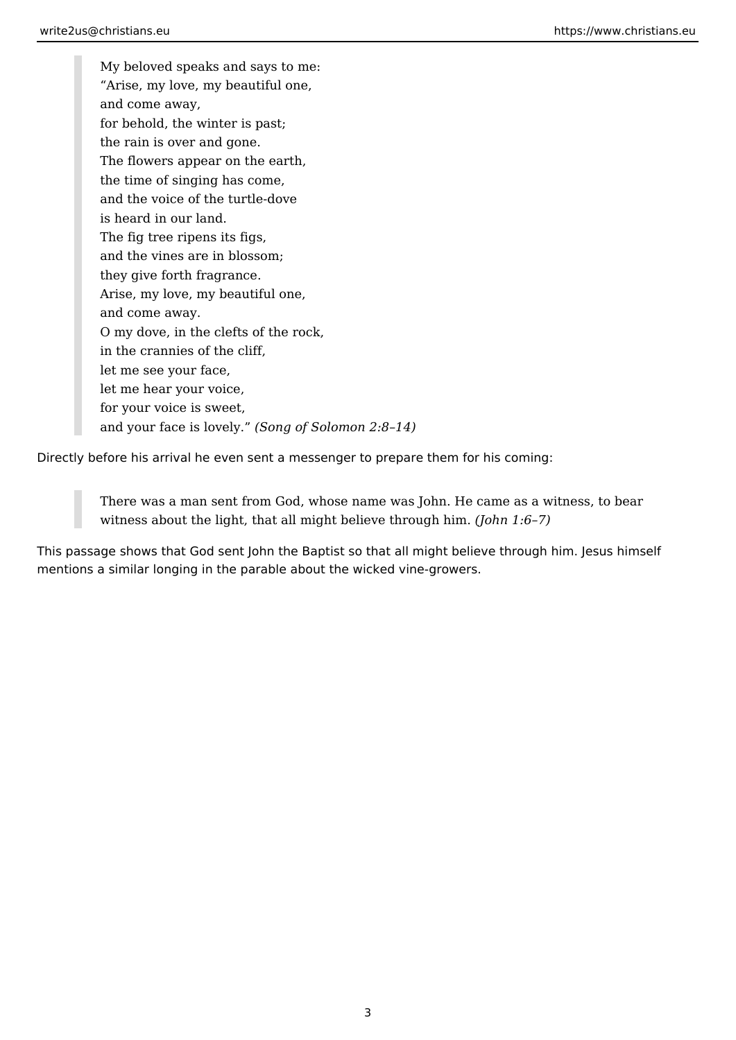My beloved speaks and says to me: "Arise, my love, my beautiful one, and come away, for behold, the winter is past; the rain is over and gone. The flowers appear on the earth, the time of singing has come, and the voice of the turtle-dove is heard in our land. The fig tree ripens its figs, and the vines are in blossom; they give forth fragrance. Arise, my love, my beautiful one, and come away. O my dove, in the clefts of the rock, in the crannies of the cliff, let me see your face, let me hear your voice, for your voice is sweet, and your face is lovely." *(Song of Solomon 2:8–14)* 

Directly before his arrival he even sent a messenger to prepare them for his coming:

There was a man sent from God, whose name was John. He came as a witness, to bear witness about the light, that all might believe through him. *(John 1:6–7)* 

This passage shows that God sent John the Baptist so that all might believe through him. Jesus himself mentions a similar longing in the parable about the wicked vine-growers.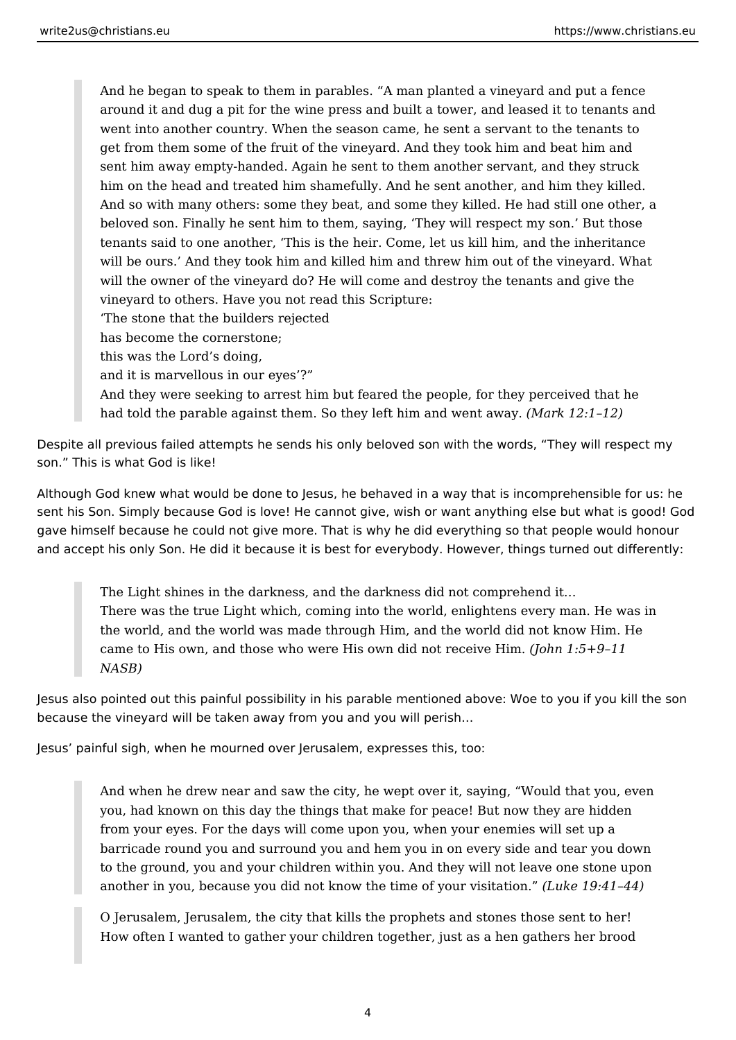And he began to speak to them in parables. "A man planted a vineyard and put a fence around it and dug a pit for the wine press and built a tower, and leased it to tenants and went into another country. When the season came, he sent a servant to the tenants to get from them some of the fruit of the vineyard. And they took him and beat him and sent him away empty-handed. Again he sent to them another servant, and they struck him on the head and treated him shamefully. And he sent another, and him they killed. And so with many others: some they beat, and some they killed. He had still one other, a beloved son. Finally he sent him to them, saying, 'They will respect my son.' But those tenants said to one another, 'This is the heir. Come, let us kill him, and the inheritance will be ours.' And they took him and killed him and threw him out of the vineyard. What will the owner of the vineyard do? He will come and destroy the tenants and give the vineyard to others. Have you not read this Scripture: 'The stone that the builders rejected

- has become the cornerstone;
- this was the Lord's doing,
- and it is marvellous in our eyes'?"

And they were seeking to arrest him but feared the people, for they perceived that he had told the parable against them. So they left him and went away. *(Mark 12:1–12)* 

Despite all previous failed attempts he sends his only beloved son with the words, "They will respect my son." This is what God is like!

Although God knew what would be done to Jesus, he behaved in a way that is incomprehensible for us: he sent his Son. Simply because God is love! He cannot give, wish or want anything else but what is good! God gave himself because he could not give more. That is why he did everything so that people would honour and accept his only Son. He did it because it is best for everybody. However, things turned out differently:

The Light shines in the darkness, and the darkness did not comprehend it… There was the true Light which, coming into the world, enlightens every man. He was in the world, and the world was made through Him, and the world did not know Him. He came to His own, and those who were His own did not receive Him. *(John 1:5+9–11 NASB)* 

Jesus also pointed out this painful possibility in his parable mentioned above: Woe to you if you kill the son because the vineyard will be taken away from you and you will perish…

Jesus' painful sigh, when he mourned over Jerusalem, expresses this, too:

And when he drew near and saw the city, he wept over it, saying, "Would that you, even you, had known on this day the things that make for peace! But now they are hidden from your eyes. For the days will come upon you, when your enemies will set up a barricade round you and surround you and hem you in on every side and tear you down to the ground, you and your children within you. And they will not leave one stone upon another in you, because you did not know the time of your visitation." *(Luke 19:41–44)*

O Jerusalem, Jerusalem, the city that kills the prophets and stones those sent to her! How often I wanted to gather your children together, just as a hen gathers her brood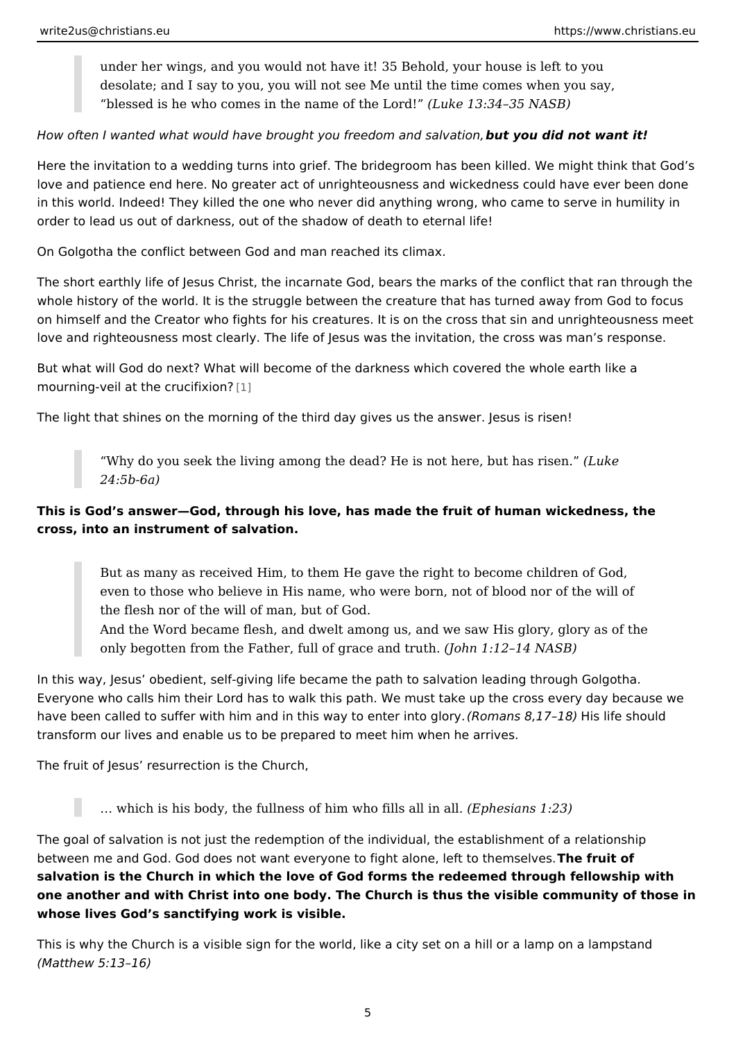under her wings, and you would not have it! 35 Behold, your house is le desolate; and I say to you, you will not see Me until the time comes when blessed is he who comes in the name  $L$ ourk the  $3L$   $3$   $4d$   $85$  NASB)

How often I wanted what would have brought you frebend to mo and tid salovative met it!

Here the invitation to a wedding turns into grief. The bridegroom has been killed love and patience end here. No greater act of unrighteousness and wickedness c in this world. Indeed! They killed the one who never did anything wrong, who car order to lead us out of darkness, out of the shadow of death to eternal life!

On Golgotha the conflict between God and man reached its climax.

The short earthly life of Jesus Christ, the incarnate God, bears the marks of the whole history of the world. It is the struggle between the creature that has turne on himself and the Creator who fights for his creatures. It is on the cross that sin love and righteousness most clearly. The life of Jesus was the invitation, the cross

But what will God do next? What will become of the darkness which covered the  $m$  ourning-veil at the cruditixion?

The light that shines on the morning of the third day gives us the answer. Jesus

Why do you seek the living amon the the modetable re, but has Luiken. 24:5b-6a)

This is God s answer God, through his love, has made the fruit of human wickedi cross, into an instrument of salvation.

But as many as received Him, to them He gave the right to become child even to those who believe in His name, who were born, not of blood nor the flesh nor of the will of man, but of God. And the Word became flesh, and dwelt among us, and we saw His glory, only begotten from the Father, full of g(r.atomenath.com 2truth. NASB)

In this way, Jesus obedient, self-giving life became the path to salvation leadin Everyone who calls him their Lord has to walk this path. We must take up the cross have been called to suffer with him and in this wa(yRtomentse B, into bilighto information into the should transform our lives and enable us to be prepared to meet him when he arrives.

The fruit of Jesus resurrection is the Church,

& which is his body, the fullness of him whEophidelssiands in:  $2a3$ ).

The goal of salvation is not just the redemption of the individual, the establishm between me and God. God does not want everyone to fight allome frilue if themsel salvation is the Church in which the love of God forms the redeemed through fel one another and with Christ into one body. The Church is thus the visible commu whose lives God s sanctifying work is visible.

This is why the Church is a visible sign for the world, like a city set on a hill or (Matthew 5:13 16)